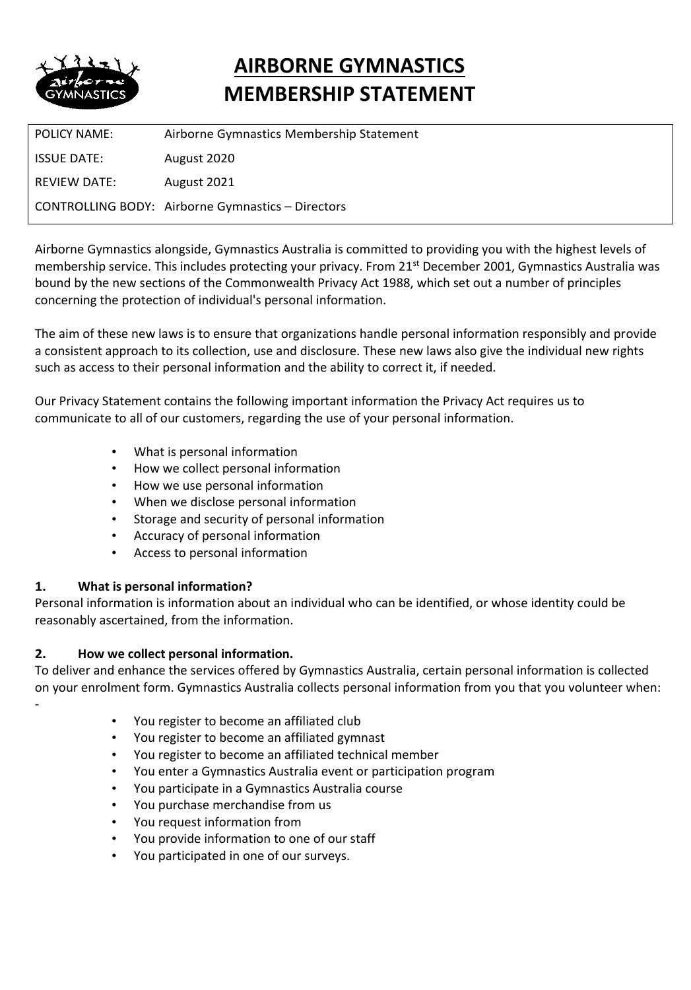

# **AIRBORNE GYMNASTICS MEMBERSHIP STATEMENT**

POLICY NAME: Airborne Gymnastics Membership Statement ISSUE DATE: August 2020 REVIEW DATE: August 2021 CONTROLLING BODY: Airborne Gymnastics – Directors

Airborne Gymnastics alongside, Gymnastics Australia is committed to providing you with the highest levels of membership service. This includes protecting your privacy. From 21<sup>st</sup> December 2001, Gymnastics Australia was bound by the new sections of the Commonwealth Privacy Act 1988, which set out a number of principles concerning the protection of individual's personal information.

The aim of these new laws is to ensure that organizations handle personal information responsibly and provide a consistent approach to its collection, use and disclosure. These new laws also give the individual new rights such as access to their personal information and the ability to correct it, if needed.

Our Privacy Statement contains the following important information the Privacy Act requires us to communicate to all of our customers, regarding the use of your personal information.

- What is personal information
- How we collect personal information
- How we use personal information
- When we disclose personal information
- Storage and security of personal information
- Accuracy of personal information
- Access to personal information

# **1. What is personal information?**

-

Personal information is information about an individual who can be identified, or whose identity could be reasonably ascertained, from the information.

# **2. How we collect personal information.**

To deliver and enhance the services offered by Gymnastics Australia, certain personal information is collected on your enrolment form. Gymnastics Australia collects personal information from you that you volunteer when:

- You register to become an affiliated club
- You register to become an affiliated gymnast
- You register to become an affiliated technical member
- You enter a Gymnastics Australia event or participation program
- You participate in a Gymnastics Australia course
- You purchase merchandise from us
- You request information from
- You provide information to one of our staff
- You participated in one of our surveys.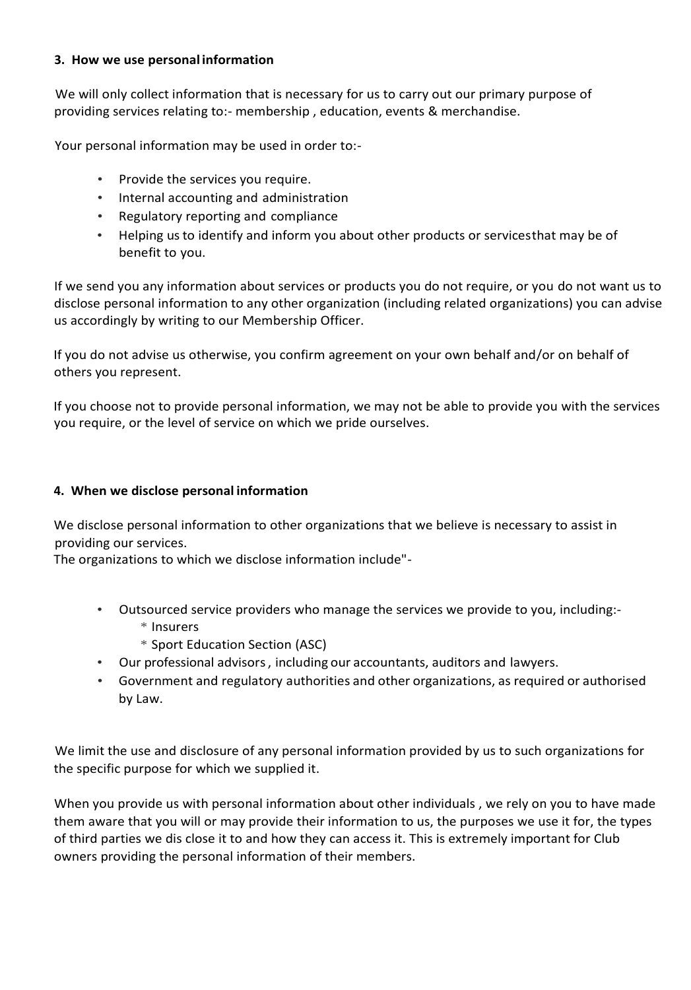# **3. How we use personal information**

We will only collect information that is necessary for us to carry out our primary purpose of providing services relating to:- membership , education, events & merchandise.

Your personal information may be used in order to:-

- Provide the services you require.
- Internal accounting and administration
- Regulatory reporting and compliance
- Helping us to identify and inform you about other products or servicesthat may be of benefit to you.

If we send you any information about services or products you do not require, or you do not want us to disclose personal information to any other organization (including related organizations) you can advise us accordingly by writing to our Membership Officer.

If you do not advise us otherwise, you confirm agreement on your own behalf and/or on behalf of others you represent.

If you choose not to provide personal information, we may not be able to provide you with the services you require, or the level of service on which we pride ourselves.

#### **4. When we disclose personal information**

We disclose personal information to other organizations that we believe is necessary to assist in providing our services.

The organizations to which we disclose information include"-

- Outsourced service providers who manage the services we provide to you, including:-
	- \* Insurers
	- \* Sport Education Section (ASC)
- Our professional advisors, including our accountants, auditors and lawyers.
- Government and regulatory authorities and other organizations, as required or authorised by Law.

We limit the use and disclosure of any personal information provided by us to such organizations for the specific purpose for which we supplied it.

When you provide us with personal information about other individuals , we rely on you to have made them aware that you will or may provide their information to us, the purposes we use it for, the types of third parties we dis close it to and how they can access it. This is extremely important for Club owners providing the personal information of their members.